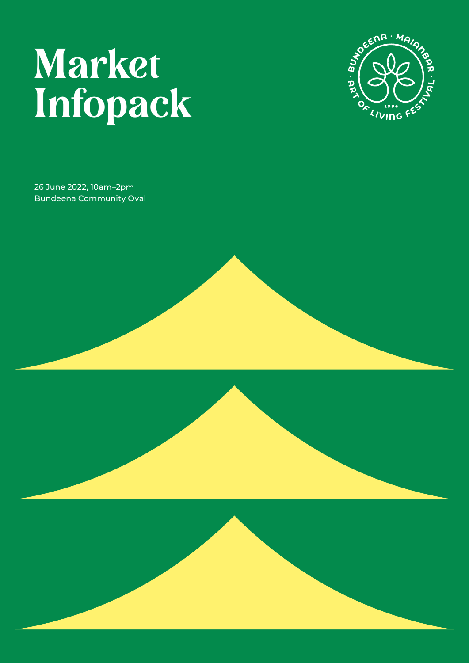# Market Infopack



26 June 2022, 10am–2pm Bundeena Community Oval





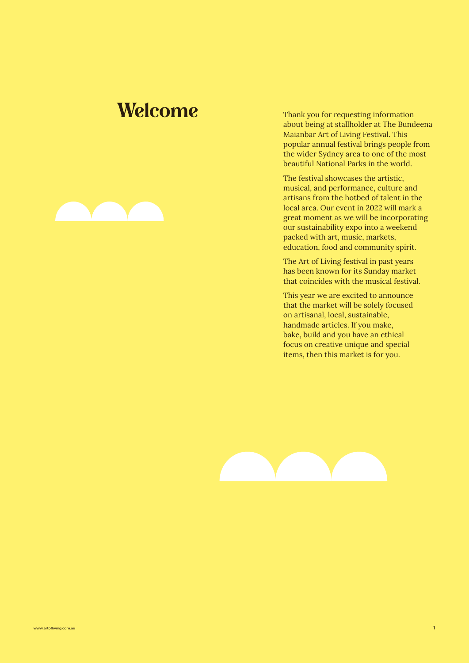### Welcome Thank you for requesting information

about being at stallholder at The Bundeena Maianbar Art of Living Festival. This popular annual festival brings people from the wider Sydney area to one of the most beautiful National Parks in the world.

The festival showcases the artistic, musical, and performance, culture and artisans from the hotbed of talent in the local area. Our event in 2022 will mark a great moment as we will be incorporating our sustainability expo into a weekend packed with art, music, markets, education, food and community spirit.

The Art of Living festival in past years has been known for its Sunday market that coincides with the musical festival.

This year we are excited to announce that the market will be solely focused on artisanal, local, sustainable, handmade articles. If you make, bake, build and you have an ethical focus on creative unique and special items, then this market is for you.



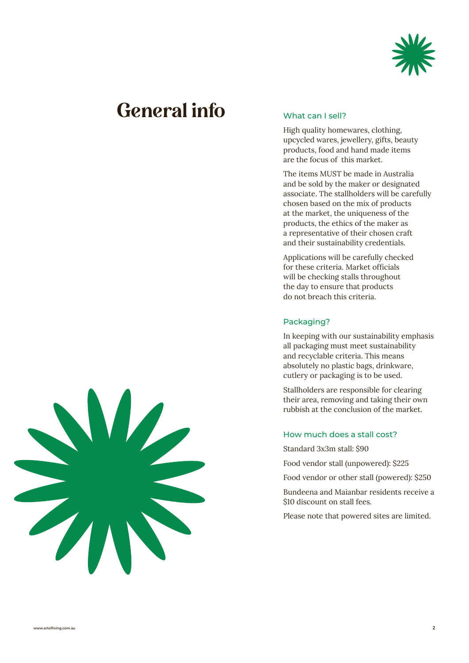

## General info



#### What can I sell?

High quality homewares, clothing, upcycled wares, jewellery, gifts, beauty products, food and hand made items are the focus of this market.

The items MUST be made in Australia and be sold by the maker or designated associate. The stallholders will be carefully chosen based on the mix of products at the market, the uniqueness of the products, the ethics of the maker as a representative of their chosen craft and their sustainability credentials.

Applications will be carefully checked for these criteria. Market officials will be checking stalls throughout the day to ensure that products do not breach this criteria.

#### Packaging?

In keeping with our sustainability emphasis all packaging must meet sustainability and recyclable criteria. This means absolutely no plastic bags, drinkware, cutlery or packaging is to be used.

Stallholders are responsible for clearing their area, removing and taking their own rubbish at the conclusion of the market.

#### How much does a stall cost?

Standard 3x3m stall: \$90

Food vendor stall (unpowered): \$225

Food vendor or other stall (powered): \$250

Bundeena and Maianbar residents receive a \$10 discount on stall fees.

Please note that powered sites are limited.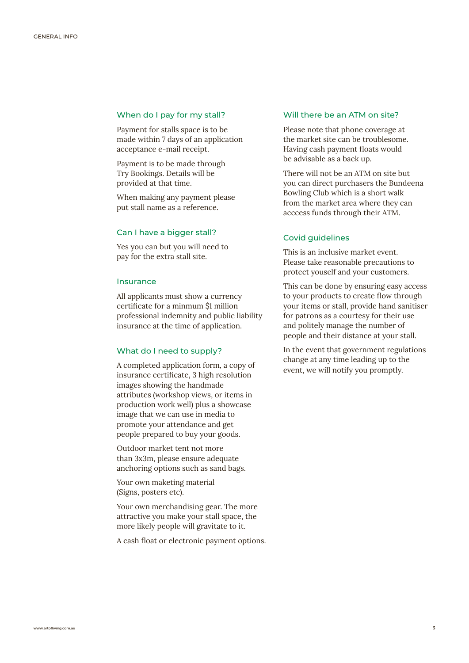#### When do I pay for my stall?

Payment for stalls space is to be made within 7 days of an application acceptance e-mail receipt.

Payment is to be made through Try Bookings. Details will be provided at that time.

When making any payment please put stall name as a reference.

#### Can I have a bigger stall?

Yes you can but you will need to pay for the extra stall site.

#### Insurance

All applicants must show a currency certificate for a minmum \$1 million professional indemnity and public liability insurance at the time of application.

#### What do I need to supply?

A completed application form, a copy of insurance certificate, 3 high resolution images showing the handmade attributes (workshop views, or items in production work well) plus a showcase image that we can use in media to promote your attendance and get people prepared to buy your goods.

Outdoor market tent not more than 3x3m, please ensure adequate anchoring options such as sand bags.

Your own maketing material (Signs, posters etc).

Your own merchandising gear. The more attractive you make your stall space, the more likely people will gravitate to it.

A cash float or electronic payment options.

#### Will there be an ATM on site?

Please note that phone coverage at the market site can be troublesome. Having cash payment floats would be advisable as a back up.

There will not be an ATM on site but you can direct purchasers the Bundeena Bowling Club which is a short walk from the market area where they can acccess funds through their ATM.

#### Covid guidelines

This is an inclusive market event. Please take reasonable precautions to protect youself and your customers.

This can be done by ensuring easy access to your products to create flow through your items or stall, provide hand sanitiser for patrons as a courtesy for their use and politely manage the number of people and their distance at your stall.

In the event that government regulations change at any time leading up to the event, we will notify you promptly.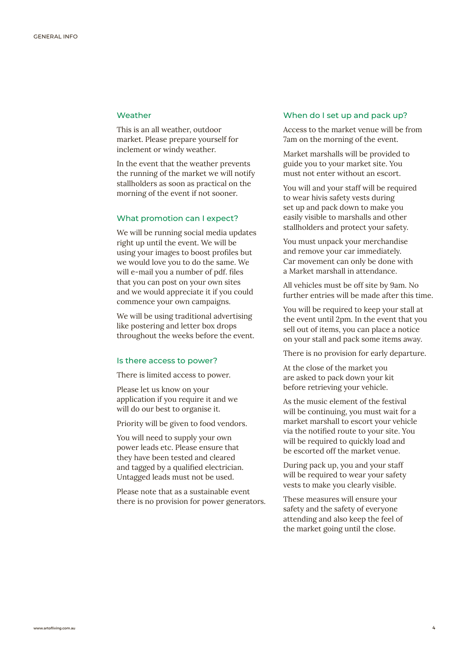#### **Weather**

This is an all weather, outdoor market. Please prepare yourself for inclement or windy weather.

In the event that the weather prevents the running of the market we will notify stallholders as soon as practical on the morning of the event if not sooner.

#### What promotion can I expect?

We will be running social media updates right up until the event. We will be using your images to boost profiles but we would love you to do the same. We will e-mail you a number of pdf. files that you can post on your own sites and we would appreciate it if you could commence your own campaigns.

We will be using traditional advertising like postering and letter box drops throughout the weeks before the event.

#### Is there access to power?

There is limited access to power.

Please let us know on your application if you require it and we will do our best to organise it.

Priority will be given to food vendors.

You will need to supply your own power leads etc. Please ensure that they have been tested and cleared and tagged by a qualified electrician. Untagged leads must not be used.

Please note that as a sustainable event there is no provision for power generators.

#### When do I set up and pack up?

Access to the market venue will be from 7am on the morning of the event.

Market marshalls will be provided to guide you to your market site. You must not enter without an escort.

You will and your staff will be required to wear hivis safety vests during set up and pack down to make you easily visible to marshalls and other stallholders and protect your safety.

You must unpack your merchandise and remove your car immediately. Car movement can only be done with a Market marshall in attendance.

All vehicles must be off site by 9am. No further entries will be made after this time.

You will be required to keep your stall at the event until 2pm. In the event that you sell out of items, you can place a notice on your stall and pack some items away.

There is no provision for early departure.

At the close of the market you are asked to pack down your kit before retrieving your vehicle.

As the music element of the festival will be continuing, you must wait for a market marshall to escort your vehicle via the notified route to your site. You will be required to quickly load and be escorted off the market venue.

During pack up, you and your staff will be required to wear your safety vests to make you clearly visible.

These measures will ensure your safety and the safety of everyone attending and also keep the feel of the market going until the close.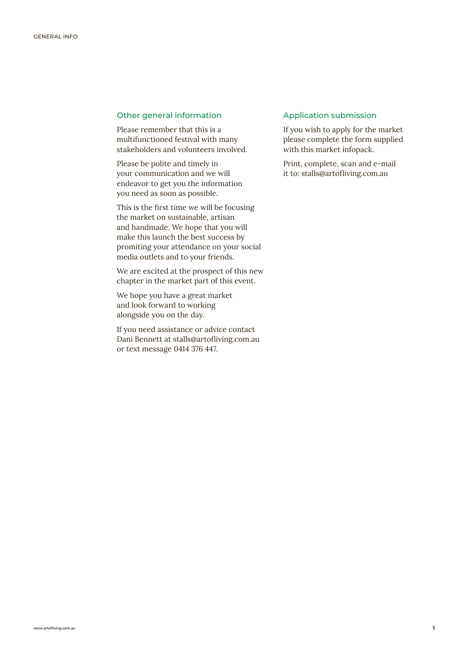#### Other general information

Please remember that this is a multifunctioned festival with many stakeholders and volunteers involved.

Please be polite and timely in your communication and we will endeavor to get you the information you need as soon as possible.

This is the first time we will be focusing the market on sustainable, artisan and handmade. We hope that you will make this launch the best success by promiting your attendance on your social media outlets and to your friends.

We are excited at the prospect of this new chapter in the market part of this event.

We hope you have a great market and look forward to working alongside you on the day.

If you need assistance or advice contact Dani Bennett at [stalls@artofliving.com.au](mailto:stalls%40artofliving.com.au?subject=Art%20of%20Living%20Festival%202022%20%E2%80%93%20Market%20stall%20application) or text message 0414 376 447.

#### Application submission

If you wish to apply for the market please complete the form supplied with this market infopack.

Print, complete, scan and e-mail it to: [stalls@artofliving.com.au](mailto:stalls%40artofliving.com.au?subject=Art%20of%20Living%20Festival%202022%20%E2%80%93%20Market%20stall%20application)